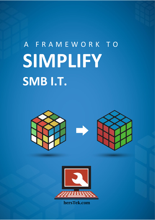# A F R A M E W O R K T O **SIMPLIFY SMB I.T.**





hersTek.com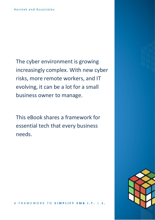The cyber environment is growing increasingly complex. With new cyber risks, more remote workers, and IT evolving, it can be a lot for a small business owner to manage.

This eBook shares a framework for essential tech that every business needs.

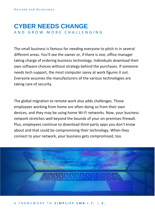#### **CYBER NEEDS CHANGE** A N D G R O W M O R E C H A L L E N G I N G

The small business is famous for needing everyone to pitch in in several different areas. You'll see the owner or, if there is one, office manager taking charge of ordering business technology. Individuals download their own software choices without strategy behind the purchases. If someone needs tech support, the most computer savvy at work figures it out. Everyone assumes the manufacturers of the various technologies are taking care of security.

The global migration to remote work also adds challenges. Those employees working from home are often doing so from their own devices, and they may be using home Wi-Fi networks. Now, your business network stretches well beyond the bounds of your on-premises firewall. Plus, employees continue to download third-party apps you don't know about and that could be compromising their technology. When they connect to your network, your business gets compromised, too.



A F R A M E W O R K T O **S I M P L I F Y S M B I . T .** | **2 .**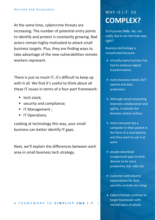At the same time, cybercrime threats are increasing. The number of potential entry points to identify and protect is constantly growing. Bad actors remain highly motivated to attack small business targets. Plus, they are finding ways to take advantage of the new vulnerabilities remote workers represent.

There is just so much IT, it's difficult to keep up with it all. We find it's useful to think about all these IT issues in terms of a four-part framework:

- $\blacksquare$  tech stack;
- security and compliance;
- **•** IT Management ;
- IT Operations.

Looking at technology this way, your small business can better identify IT gaps.

Next, we'll explain the differences between each area in small business tech strategy.

#### WHY IS I.T. SO **COMPLEX?**

To frustrate SMBs. No, not really. But it can feel that way, right?

Business technology is complicated because:

- virtually every business has had to embrace digital transformation;
- every business needs 24/7 uptime and data protection;
- Although cloud computing improves collaboration and agility, it extends the business attack surface;
- most everyone has a computer in their pocket in the form of a smartphone, and they want to use it at work.
- people download unapproved apps to their devices to be more productive, but add risk;
- customer and industry expectations for data security controls are rising;
- cybercriminals continue to target businesses with myriad types of attack.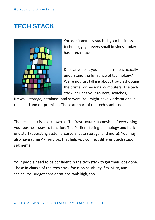## **TECH STACK**



You don't actually stack all your business technology, yet every small business today has a tech stack.

Does anyone at your small business actually understand the full range of technology? We're not just talking about troubleshooting the printer or personal computers. The tech stack includes your routers, switches,

firewall, storage, database, and servers. You might have workstations in the cloud and on-premises. Those are part of the tech stack, too.

The tech stack is also known as IT infrastructure. It consists of everything your business uses to function. That's client-facing technology and backend stuff (operating systems, servers, data storage, and more). You may also have some API services that help you connect different tech stack segments.

Your people need to be confident in the tech stack to get their jobs done. Those in charge of the tech stack focus on reliability, flexibility, and scalability. Budget considerations rank high, too.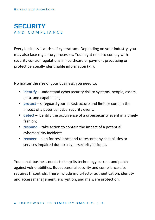#### **SECURITY** A N D C O M P L I A N C E

Every business is at risk of cyberattack. Depending on your industry, you may also face regulatory processes. You might need to comply with security control regulations in healthcare or payment processing or protect personally identifiable information (PII).

No matter the size of your business, you need to:

- **identify** understand cybersecurity risk to systems, people, assets, data, and capabilities;
- **protect** safeguard your infrastructure and limit or contain the impact of a potential cybersecurity event;
- **detect** identify the occurrence of a cybersecurity event in a timely fashion;
- **respond** take action to contain the impact of a potential cybersecurity incident;
- **recover** plan for resilience and to restore any capabilities or services impaired due to a cybersecurity incident.

Your small business needs to keep its technology current and patch against vulnerabilities. But successful security and compliance also requires IT controls. These include multi-factor authentication, identity and access management, encryption, and malware protection.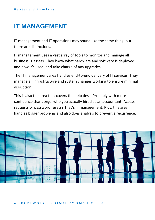## **IT MANAGEMENT**

IT management and IT operations may sound like the same thing, but there are distinctions.

IT management uses a vast array of tools to monitor and manage all business IT assets. They know what hardware and software is deployed and how it's used, and take charge of any upgrades.

The IT management area handles end-to-end delivery of IT services. They manage all infrastructure and system changes working to ensure minimal disruption.

This is also the area that covers the help desk. Probably with more confidence than Jorge, who you actually hired as an accountant. Access requests or password resets? That's IT management. Plus, this area handles bigger problems and also does analysis to prevent a recurrence.



A F R A M E W O R K T O **S I M P L I F Y S M B I . T .** | **6 .**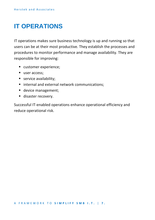## **IT OPERATIONS**

IT operations makes sure business technology is up and running so that users can be at their most productive. They establish the processes and procedures to monitor performance and manage availability. They are responsible for improving:

- customer experience;
- user access:
- service availability;
- internal and external network communications:
- **■** device management;
- disaster recovery.

Successful IT-enabled operations enhance operational efficiency and reduce operational risk.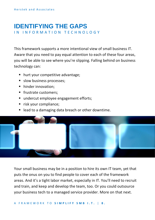## **IDENTIFYING THE GAPS**

IN INFORMATION TECHNOLOGY

This framework supports a more intentional view of small business IT. Aware that you need to pay equal attention to each of these four areas, you will be able to see where you're slipping. Falling behind on business technology can:

- hurt your competitive advantage;
- **E** slow business processes;
- hinder innovation;
- frustrate customers;
- undercut employee engagement efforts;
- risk your compliance;
- lead to a damaging data breach or other downtime.



Your small business may be in a position to hire its own IT team, yet that puts the onus on you to find people to cover each of the framework areas. And it's a tight labor market, especially in IT. You'll need to recruit and train, and keep and develop the team, too. Or you could outsource your business tech to a managed service provider. More on that next.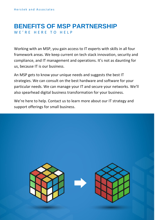#### **BENEFITS OF MSP PARTNERSHIP** WE'RE HERE TO HELP

Working with an MSP, you gain access to IT experts with skills in all four framework areas. We keep current on tech stack innovation, security and compliance, and IT management and operations. It's not as daunting for us, because IT is our business.

An MSP gets to know your unique needs and suggests the best IT strategies. We can consult on the best hardware and software for your particular needs. We can manage your IT and secure your networks. We'll also spearhead digital business transformation for your business.

We're here to help. Contact us to learn more about our IT strategy and support offerings for small business.